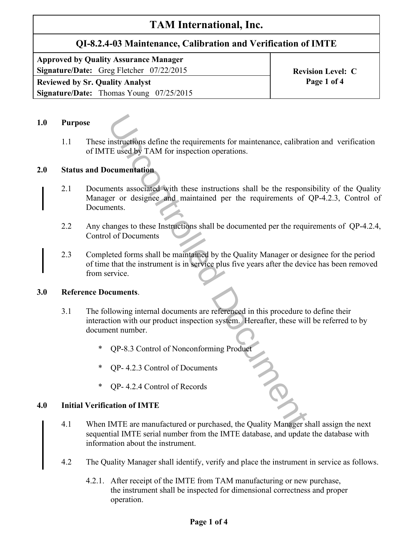# **TAM International, Inc.**

## **QI-8.2.4-03 Maintenance, Calibration and Verification of IMTE**

**Approved by Quality Assurance Manager Signature/Date:** Greg Fletcher 07/22/2015 **Revision Level: C** 

**Reviewed by Sr. Quality Analyst Page 1 of 4 Signature/Date:** Thomas Young 07/25/2015

# **1.0 Purpose**

1.1 These instructions define the requirements for maintenance, calibration and verification of IMTE used by TAM for inspection operations.

## **2.0 Status and Documentation**

- 2.1 Documents associated with these instructions shall be the responsibility of the Quality Manager or designee and maintained per the requirements of QP-4.2.3, Control of Documents.
- 2.2 Any changes to these Instructions shall be documented per the requirements of QP-4.2.4, Control of Documents
- 2.3 Completed forms shall be maintained by the Quality Manager or designee for the period of time that the instrument is in service plus five years after the device has been removed from service. instructions define the requirements for maintenance, calibration<br>
The used by TAM for inspection operations.<br>
Decumentation<br>
nents associated with these instructions shall be the responser<br>
or or designee and maintained p

## **3.0 Reference Documents**.

- 3.1 The following internal documents are referenced in this procedure to define their interaction with our product inspection system. Hereafter, these will be referred to by document number.
	- \* QP-8.3 Control of Nonconforming Product
	- \* QP- 4.2.3 Control of Documents
	- QP- 4.2.4 Control of Records

## **4.0 Initial Verification of IMTE**

- 4.1 When IMTE are manufactured or purchased, the Quality Manager shall assign the next sequential IMTE serial number from the IMTE database, and update the database with information about the instrument.
- 4.2 The Quality Manager shall identify, verify and place the instrument in service as follows.
	- 4.2.1. After receipt of the IMTE from TAM manufacturing or new purchase, the instrument shall be inspected for dimensional correctness and proper operation.

#### **Page 1 of 4**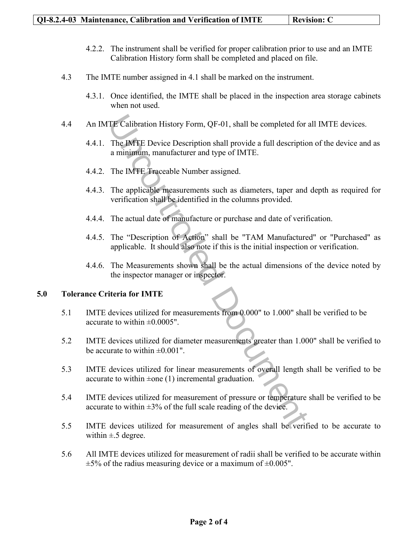## **QI-8.2.4-03 Maintenance, Calibration and Verification of IMTE Revision: C**

- 4.2.2. The instrument shall be verified for proper calibration prior to use and an IMTE Calibration History form shall be completed and placed on file.
- 4.3 The IMTE number assigned in 4.1 shall be marked on the instrument.
	- 4.3.1. Once identified, the IMTE shall be placed in the inspection area storage cabinets when not used.
- 4.4 An IMTE Calibration History Form, QF-01, shall be completed for all IMTE devices.
- 4.4.1. The IMTE Device Description shall provide a full description of the device and as a minimum, manufacturer and type of IMTE. TE Calibration History Form, QF-01, shall be completed for a<br>The IMTE Device Description shall provide a full description<br>a minimum, manufacturer and type of IMTE.<br>The IMTE Traccable Number assigned.<br>The applicable measur
	- 4.4.2. The IMTE Traceable Number assigned.
	- 4.4.3. The applicable measurements such as diameters, taper and depth as required for verification shall be identified in the columns provided.
	- 4.4.4. The actual date of manufacture or purchase and date of verification.
	- 4.4.5. The "Description of Action" shall be "TAM Manufactured" or "Purchased" as applicable. It should also note if this is the initial inspection or verification.
	- 4.4.6. The Measurements shown shall be the actual dimensions of the device noted by the inspector manager or inspector.

## **5.0 Tolerance Criteria for IMTE**

- 5.1 IMTE devices utilized for measurements from 0.000" to 1.000" shall be verified to be accurate to within  $\pm 0.0005$ ".
- 5.2 IMTE devices utilized for diameter measurements greater than 1.000" shall be verified to be accurate to within  $\pm 0.001$ ".
- 5.3 IMTE devices utilized for linear measurements of overall length shall be verified to be accurate to within  $\pm$ one (1) incremental graduation.
- 5.4 IMTE devices utilized for measurement of pressure or temperature shall be verified to be accurate to within  $\pm 3\%$  of the full scale reading of the device.
- 5.5 IMTE devices utilized for measurement of angles shall be verified to be accurate to within  $\pm$  5 degree.
- 5.6 All IMTE devices utilized for measurement of radii shall be verified to be accurate within  $\pm$ 5% of the radius measuring device or a maximum of  $\pm$ 0.005".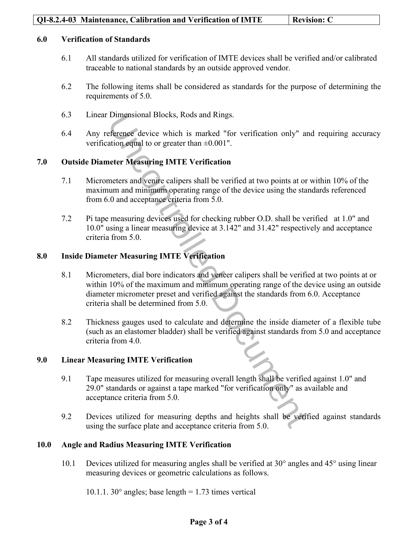#### **6.0 Verification of Standards**

- 6.1 All standards utilized for verification of IMTE devices shall be verified and/or calibrated traceable to national standards by an outside approved vendor.
- 6.2 The following items shall be considered as standards for the purpose of determining the requirements of 5.0.
- 6.3 Linear Dimensional Blocks, Rods and Rings.
- 6.4 Any reference device which is marked "for verification only" and requiring accuracy verification equal to or greater than  $\pm 0.001$ ".

#### **7.0 Outside Diameter Measuring IMTE Verification**

- 7.1 Micrometers and venire calipers shall be verified at two points at or within 10% of the maximum and minimum operating range of the device using the standards referenced from 6.0 and acceptance criteria from 5.0.
- 7.2 Pi tape measuring devices used for checking rubber O.D. shall be verified at 1.0" and 10.0" using a linear measuring device at 3.142" and 31.42" respectively and acceptance criteria from 5.0.

### **8.0 Inside Diameter Measuring IMTE Verification**

- 8.1 Micrometers, dial bore indicators and veneer calipers shall be verified at two points at or within 10% of the maximum and minimum operating range of the device using an outside diameter micrometer preset and verified against the standards from 6.0. Acceptance criteria shall be determined from 5.0. Dimensional Blocks, Rods and Kings.<br>
Eference device which is marked "for verification only" and<br>
attion equal to or greater than  $\pm 0.001$ ".<br>
<br>
Leter Measuring IMTE Verification<br>
meters and venire calipers shall be veri
- 8.2 Thickness gauges used to calculate and determine the inside diameter of a flexible tube (such as an elastomer bladder) shall be verified against standards from 5.0 and acceptance criteria from 4.0.

#### **9.0 Linear Measuring IMTE Verification**

- 9.1 Tape measures utilized for measuring overall length shall be verified against 1.0" and 29.0" standards or against a tape marked "for verification only" as available and acceptance criteria from 5.0.
- 9.2 Devices utilized for measuring depths and heights shall be verified against standards using the surface plate and acceptance criteria from 5.0.

#### **10.0 Angle and Radius Measuring IMTE Verification**

- 10.1 Devices utilized for measuring angles shall be verified at 30° angles and 45° using linear measuring devices or geometric calculations as follows.
	- 10.1.1. 30 $^{\circ}$  angles; base length = 1.73 times vertical